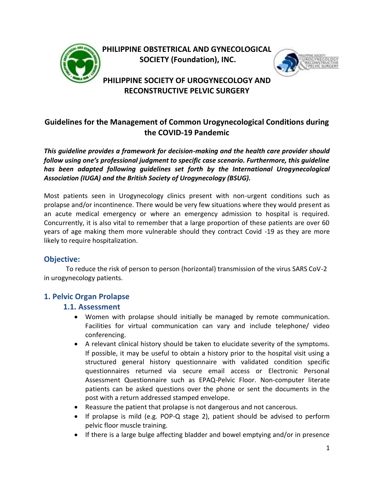

**PHILIPPINE OBSTETRICAL AND GYNECOLOGICAL SOCIETY (Foundation), INC.**



# **PHILIPPINE SOCIETY OF UROGYNECOLOGY AND RECONSTRUCTIVE PELVIC SURGERY**

# **Guidelines for the Management of Common Urogynecological Conditions during the COVID-19 Pandemic**

*This guideline provides a framework for decision-making and the health care provider should follow using one's professional judgment to specific case scenario. Furthermore, this guideline has been adapted following guidelines set forth by the International Urogynecological Association (IUGA) and the British Society of Urogynecology (BSUG).*

Most patients seen in Urogynecology clinics present with non-urgent conditions such as prolapse and/or incontinence. There would be very few situations where they would present as an acute medical emergency or where an emergency admission to hospital is required. Concurrently, it is also vital to remember that a large proportion of these patients are over 60 years of age making them more vulnerable should they contract Covid -19 as they are more likely to require hospitalization.

### **Objective:**

To reduce the risk of person to person (horizontal) transmission of the virus SARS CoV-2 in urogynecology patients.

## **1. Pelvic Organ Prolapse**

### **1.1. Assessment**

- Women with prolapse should initially be managed by remote communication. Facilities for virtual communication can vary and include telephone/ video conferencing.
- A relevant clinical history should be taken to elucidate severity of the symptoms. If possible, it may be useful to obtain a history prior to the hospital visit using a structured general history questionnaire with validated condition specific questionnaires returned via secure email access or Electronic Personal Assessment Questionnaire such as EPAQ-Pelvic Floor. Non-computer literate patients can be asked questions over the phone or sent the documents in the post with a return addressed stamped envelope.
- Reassure the patient that prolapse is not dangerous and not cancerous.
- If prolapse is mild (e.g. POP-Q stage 2), patient should be advised to perform pelvic floor muscle training.
- If there is a large bulge affecting bladder and bowel emptying and/or in presence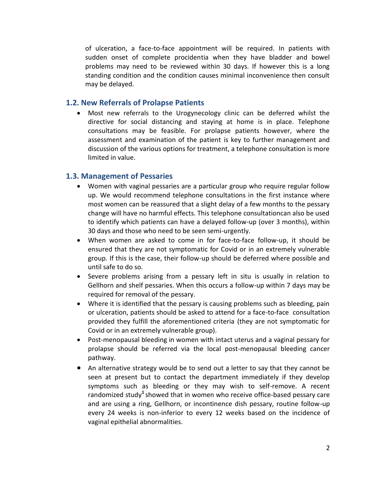of ulceration, a face-to-face appointment will be required. In patients with sudden onset of complete procidentia when they have bladder and bowel problems may need to be reviewed within 30 days. If however this is a long standing condition and the condition causes minimal inconvenience then consult may be delayed.

#### **1.2. New Referrals of Prolapse Patients**

 Most new referrals to the Urogynecology clinic can be deferred whilst the directive for social distancing and staying at home is in place. Telephone consultations may be feasible. For prolapse patients however, where the assessment and examination of the patient is key to further management and discussion of the various options for treatment, a telephone consultation is more limited in value.

### **1.3. Management of Pessaries**

- Women with vaginal pessaries are a particular group who require regular follow up. We would recommend telephone consultations in the first instance where most women can be reassured that a slight delay of a few months to the pessary change will have no harmful effects. This telephone consultationcan also be used to identify which patients can have a delayed follow-up (over 3 months), within 30 days and those who need to be seen semi-urgently.
- When women are asked to come in for face-to-face follow-up, it should be ensured that they are not symptomatic for Covid or in an extremely vulnerable group. If this is the case, their follow-up should be deferred where possible and until safe to do so.
- Severe problems arising from a pessary left in situ is usually in relation to Gellhorn and shelf pessaries. When this occurs a follow-up within 7 days may be required for removal of the pessary.
- Where it is identified that the pessary is causing problems such as bleeding, pain or ulceration, patients should be asked to attend for a face-to-face consultation provided they fulfill the aforementioned criteria (they are not symptomatic for Covid or in an extremely vulnerable group).
- Post-menopausal bleeding in women with intact uterus and a vaginal pessary for prolapse should be referred via the local post-menopausal bleeding cancer pathway.
- An alternative strategy would be to send out a letter to say that they cannot be seen at present but to contact the department immediately if they develop symptoms such as bleeding or they may wish to self-remove. A recent randomized study**<sup>1</sup>** showed that in women who receive office-based pessary care and are using a ring, Gellhorn, or incontinence dish pessary, routine follow-up every 24 weeks is non-inferior to every 12 weeks based on the incidence of vaginal epithelial abnormalities.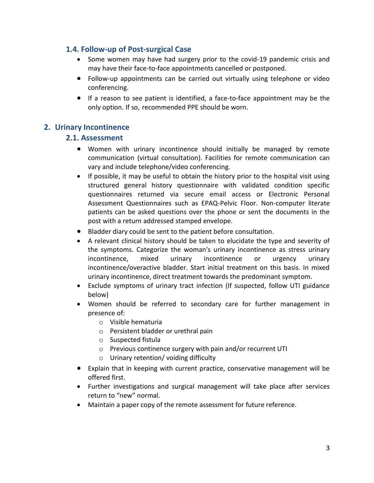### **1.4. Follow-up of Post-surgical Case**

- Some women may have had surgery prior to the covid-19 pandemic crisis and may have their face-to-face appointments cancelled or postponed.
- Follow-up appointments can be carried out virtually using telephone or video conferencing.
- If a reason to see patient is identified, a face-to-face appointment may be the only option. If so, recommended PPE should be worn.

## **2. Urinary Incontinence**

#### **2.1. Assessment**

- Women with urinary incontinence should initially be managed by remote communication (virtual consultation). Facilities for remote communication can vary and include telephone/video conferencing.
- If possible, it may be useful to obtain the history prior to the hospital visit using structured general history questionnaire with validated condition specific questionnaires returned via secure email access or Electronic Personal Assessment Questionnaires such as EPAQ-Pelvic Floor. Non-computer literate patients can be asked questions over the phone or sent the documents in the post with a return addressed stamped envelope.
- Bladder diary could be sent to the patient before [consultation.](https://www.yourpelvicfloor.org/conditions/bladder-diary-2/)
- A relevant clinical history should be taken to elucidate the type and severity of the symptoms. Categorize the woman's urinary incontinence as stress urinary incontinence, mixed urinary incontinence or urgency urinary incontinence/overactive bladder. Start initial treatment on this basis. In mixed urinary incontinence, direct treatment towards the predominant symptom.
- Exclude symptoms of urinary tract infection (If suspected, follow UTI guidance below)
- Women should be referred to secondary care for further management in presence of:
	- o Visible hematuria
	- o Persistent bladder or urethral pain
	- o Suspected fistula
	- o Previous continence surgery with pain and/or recurrent UTI
	- o Urinary retention/ voiding difficulty
- Explain that in keeping with current practice, conservative management will be offered first.
- Further investigations and surgical management will take place after services return to "new" normal.
- Maintain a paper copy of the remote assessment for future reference.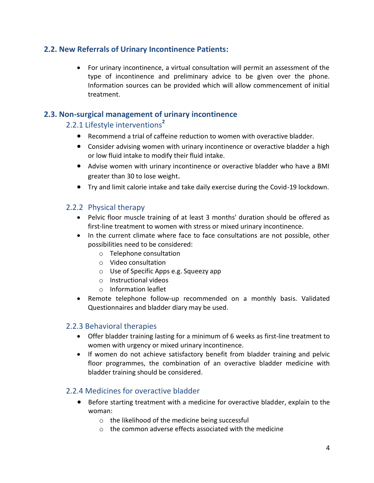## **2.2. New Referrals of Urinary Incontinence Patients:**

 For urinary incontinence, a virtual consultation will permit an assessment of the type of incontinence and preliminary advice to be given over the phone. Information sources can be provided which will allow commencement of initial treatment.

## **2.3. Non-surgical management of urinary incontinence**

# 2.2.1 Lifestyle interventions**<sup>2</sup>**

- Recommend a trial of caffeine reduction to women with overactive bladder.
- Consider advising women with urinary incontinence or overactive bladder a high or low fluid intake to modify their fluid intake.
- Advise women with urinary incontinence or overactive bladder who have a BMI greater than 30 to lose weight.
- Try and limit calorie intake and take daily exercise during the Covid-19 lockdown.

## 2.2.2 Physical therapy

- Pelvic floor muscle training of at least 3 months' duration should be offered as first-line treatment to women with stress or mixed urinary incontinence.
- In the current climate where face to face consultations are not possible, other possibilities need to be considered:
	- o Telephone consultation
	- o Video consultation
	- o Use of Specific Apps e.g. Squeezy app
	- o [Instructional videos](https://www.yourpelvicfloor.org/pelvic-floor-exercise-videos/)
	- o [Information leaflet](https://www.yourpelvicfloor.org/conditions/pelvic-floor-exercises/)
- Remote telephone follow-up recommended on a monthly basis. Validated Questionnaires and bladder diary may be used.

### 2.2.3 Behavioral therapies

- Offer bladder training lasting for a minimum of 6 weeks as first-line treatment to women with urgency or mixed urinary incontinence.
- If women do not achieve satisfactory benefit from bladder training and pelvic floor programmes, the combination of an overactive bladder medicine with bladder training should be considered.

### 2.2.4 Medicines for overactive bladder

- Before starting treatment with a medicine for overactive bladder, explain to the woman:
	- o the likelihood of the medicine being successful
	- o the common adverse effects associated with the medicine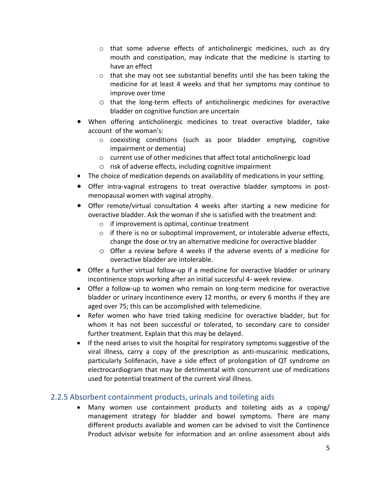- $\circ$  that some adverse effects of anticholinergic medicines, such as dry mouth and constipation, may indicate that the medicine is starting to have an effect
- $\circ$  that she may not see substantial benefits until she has been taking the medicine for at least 4 weeks and that her symptoms may continue to improve over time
- o that the long-term effects of anticholinergic medicines for overactive bladder on cognitive function are uncertain
- When offering anticholinergic medicines to treat overactive bladder, take account of the woman's:
	- o coexisting conditions (such as poor bladder emptying, cognitive impairment or dementia)
	- o current use of other medicines that affect total anticholinergic load
	- o risk of adverse effects, including cognitive impairment
- The choice of medication depends on availability of medications in your setting.
- Offer intra-vaginal estrogens to treat overactive bladder symptoms in postmenopausal women with vaginal atrophy.
- Offer remote/virtual consultation 4 weeks after starting a new medicine for overactive bladder. Ask the woman if she is satisfied with the treatment and:
	- o if improvement is optimal, continue treatment
	- $\circ$  if there is no or suboptimal improvement, or intolerable adverse effects, change the dose or try an alternative medicine for overactive bladder
	- o Offer a review before 4 weeks if the adverse events of a medicine for overactive bladder are intolerable.
- Offer a further virtual follow-up if a medicine for overactive bladder or urinary incontinence stops working after an initial successful 4‑ week review.
- Offer a follow-up to women who remain on long-term medicine for overactive bladder or urinary incontinence every 12 months, or every 6 months if they are aged over 75; this can be accomplished with telemedicine.
- Refer women who have tried taking medicine for overactive bladder, but for whom it has not been successful or tolerated, to secondary care to consider further treatment. Explain that this may be delayed.
- If the need arises to visit the hospital for respiratory symptoms suggestive of the viral illness, carry a copy of the prescription as anti-muscarinic medications, particularly Solifenacin, have a side effect of prolongation of QT syndrome on electrocardiogram that may be detrimental with concurrent use of medications used for potential treatment of the current viral illness.

## 2.2.5 Absorbent containment products, urinals and toileting aids

 Many women use containment products and toileting aids as a coping/ management strategy for bladder and bowel symptoms. There are many different products available and women can be advised to visit the Continence Product advisor website for information and an online assessment about aids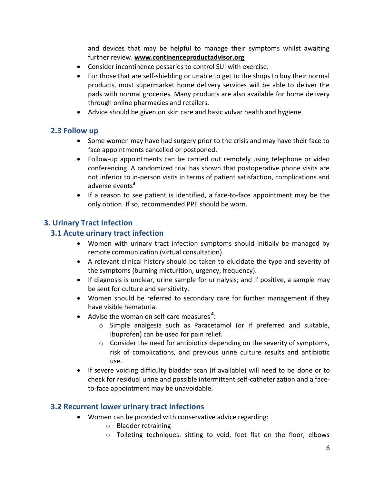and devices that may be helpful to manage their symptoms whilst awaiting further review. **[www.continenceproductadvisor.org](http://www.continenceproductadvisor.org/)**

- Consider incontinence pessaries to control SUI with exercise.
- For those that are self-shielding or unable to get to the shops to buy their normal products, most supermarket home delivery services will be able to deliver the pads with normal groceries. Many products are also available for home delivery through online pharmacies and retailers.
- Advice should be given on skin care and basic vulvar health and hygiene.

## **2.3 Follow up**

- Some women may have had surgery prior to the crisis and may have their face to face appointments cancelled or postponed.
- Follow-up appointments can be carried out remotely using telephone or video conferencing. A randomized trial has shown that postoperative phone visits are not inferior to in-person visits in terms of patient satisfaction, complications and adverse events**<sup>3</sup>**
- If a reason to see patient is identified, a face-to-face appointment may be the only option. If so, recommended PPE should be worn.

## **3. Urinary Tract Infection**

## **3.1 Acute urinary tract infection**

- Women with urinary tract infection symptoms should initially be managed by remote communication (virtual consultation).
- A relevant clinical history should be taken to elucidate the type and severity of the symptoms (burning micturition, urgency, frequency).
- If diagnosis is unclear, urine sample for urinalysis; and if positive, a sample may be sent for culture and sensitivity.
- Women should be referred to secondary care for further management if they have visible hematuria.
- Advise the woman on self-care measures **<sup>4</sup>** :
	- o Simple analgesia such as Paracetamol (or if preferred and suitable, Ibuprofen) can be used for pain relief.
	- $\circ$  Consider the need for antibiotics depending on the severity of symptoms, risk of complications, and previous urine culture results and antibiotic use.
- If severe voiding difficulty bladder scan (if available) will need to be done or to check for residual urine and possible intermittent self-catheterization and a faceto-face appointment may be unavoidable.

### **3.2 Recurrent lower urinary tract infections**

- Women can be provided with conservative advice regarding:
	- o Bladder retraining
	- o Toileting techniques: sitting to void, feet flat on the floor, elbows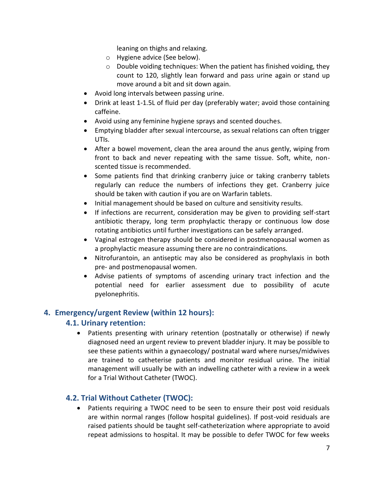leaning on thighs and relaxing.

- o Hygiene advice (See below).
- o Double voiding techniques: When the patient has finished voiding, they count to 120, slightly lean forward and pass urine again or stand up move around a bit and sit down again.
- Avoid long intervals between passing urine.
- Drink at least 1-1.5L of fluid per day (preferably water; avoid those containing caffeine.
- Avoid using any feminine hygiene sprays and scented douches.
- Emptying bladder after sexual intercourse, as sexual relations can often trigger UTIs.
- After a bowel movement, clean the area around the anus gently, wiping from front to back and never repeating with the same tissue. Soft, white, nonscented tissue is recommended.
- Some patients find that drinking cranberry juice or taking cranberry tablets regularly can reduce the numbers of infections they get. Cranberry juice should be taken with caution if you are on Warfarin tablets.
- Initial management should be based on culture and sensitivity results.
- If infections are recurrent, consideration may be given to providing self-start antibiotic therapy, long term prophylactic therapy or continuous low dose rotating antibiotics until further investigations can be safely arranged.
- Vaginal estrogen therapy should be considered in postmenopausal women as a prophylactic measure assuming there are no contraindications.
- Nitrofurantoin, an antiseptic may also be considered as prophylaxis in both pre- and postmenopausal women.
- Advise patients of symptoms of ascending urinary tract infection and the potential need for earlier assessment due to possibility of acute pyelonephritis.

### **4. Emergency/urgent Review (within 12 hours):**

### **4.1. Urinary retention:**

 Patients presenting with urinary retention (postnatally or otherwise) if newly diagnosed need an urgent review to prevent bladder injury. It may be possible to see these patients within a gynaecology/ postnatal ward where nurses/midwives are trained to catheterise patients and monitor residual urine. The initial management will usually be with an indwelling catheter with a review in a week for a Trial Without Catheter (TWOC).

### **4.2. Trial Without Catheter (TWOC):**

 Patients requiring a TWOC need to be seen to ensure their post void residuals are within normal ranges (follow hospital guidelines). If post-void residuals are raised patients should be taught self-catheterization where appropriate to avoid repeat admissions to hospital. It may be possible to defer TWOC for few weeks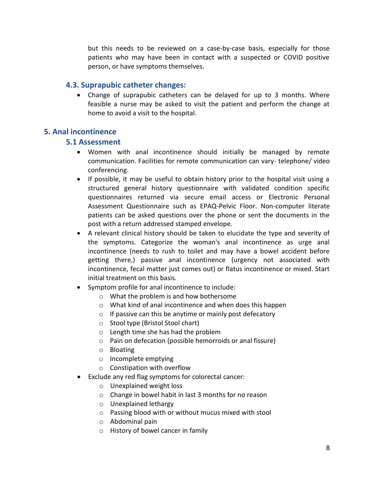but this needs to be reviewed on a case-by-case basis, especially for those patients who may have been in contact with a suspected or COVID positive person, or have symptoms themselves.

#### **4.3. Suprapubic catheter changes:**

 Change of suprapubic catheters can be delayed for up to 3 months. Where feasible a nurse may be asked to visit the patient and perform the change at home to avoid a visit to the hospital.

### **5. Anal incontinence**

#### **5.1 Assessment**

- Women with anal incontinence should initially be managed by remote communication. Facilities for remote communication can vary- telephone/ video conferencing.
- If possible, it may be useful to obtain history prior to the hospital visit using a structured general history questionnaire with validated condition specific questionnaires returned via secure email access or Electronic Personal Assessment Questionnaire such as EPAQ-Pelvic Floor. Non-computer literate patients can be asked questions over the phone or sent the documents in the post with a return addressed stamped envelope.
- A relevant clinical history should be taken to elucidate the type and severity of the symptoms. Categorize the woman's anal incontinence as urge anal incontinence (needs to rush to toilet and may have a bowel accident before getting there,) passive anal incontinence (urgency not associated with incontinence, fecal matter just comes out) or flatus incontinence or mixed. Start initial treatment on this basis.
- Symptom profile for anal incontinence to include:
	- o What the problem is and how bothersome
	- o What kind of anal incontinence and when does this happen
	- $\circ$  If passive can this be anytime or mainly post defecatory
	- o Stool type (Bristol Stool chart)
	- o Length time she has had the problem
	- o Pain on defecation (possible hemorroids or anal fissure)
	- o Bloating
	- o Incomplete emptying
	- o Constipation with overflow
- Exclude any red flag symptoms for colorectal cancer:
	- o Unexplained weight loss
	- o Change in bowel habit in last 3 months for no reason
	- o Unexplained lethargy
	- o Passing blood with or without mucus mixed with stool
	- o Abdominal pain
	- o History of bowel cancer in family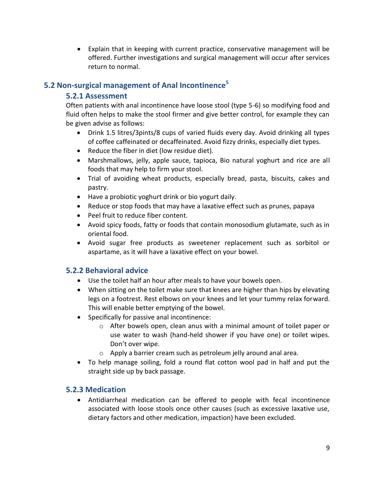Explain that in keeping with current practice, conservative management will be offered. Further investigations and surgical management will occur after services return to normal.

## **5.2 Non-surgical management of Anal Incontinence<sup>5</sup>**

### **5.2.1 Assessment**

Often patients with anal incontinence have loose stool (type 5-6) so modifying food and fluid often helps to make the stool firmer and give better control, for example they can be given advise as follows:

- Drink 1.5 litres/3pints/8 cups of varied fluids every day. Avoid drinking all types of coffee caffeinated or decaffeinated. Avoid fizzy drinks, especially diet types.
- Reduce the fiber in diet (low residue diet).
- Marshmallows, jelly, apple sauce, tapioca, Bio natural yoghurt and rice are all foods that may help to firm your stool.
- Trial of avoiding wheat products, especially bread, pasta, biscuits, cakes and pastry.
- Have a probiotic yoghurt drink or bio yogurt daily.
- Reduce or stop foods that may have a laxative effect such as prunes, papaya
- Peel fruit to reduce fiber content.
- Avoid spicy foods, fatty or foods that contain monosodium glutamate, such as in oriental food.
- Avoid sugar free products as sweetener replacement such as sorbitol or aspartame, as it will have a laxative effect on your bowel.

## **5.2.2 Behavioral advice**

- Use the toilet half an hour after meals to have your bowels open.
- When sitting on the toilet make sure that knees are higher than hips by elevating legs on a footrest. Rest elbows on your knees and let your tummy relax forward. This will enable better emptying of the bowel.
- Specifically for passive anal incontinence:
	- $\circ$  After bowels open, clean anus with a minimal amount of toilet paper or use water to wash (hand-held shower if you have one) or toilet wipes. Don't over wipe.
	- o Apply a barrier cream such as petroleum jelly around anal area.
- To help manage soiling, fold a round flat cotton wool pad in half and put the straight side up by back passage.

## **5.2.3 Medication**

 Antidiarrheal medication can be offered to people with fecal incontinence associated with loose stools once other causes (such as excessive laxative use, dietary factors and other medication, impaction) have been excluded.